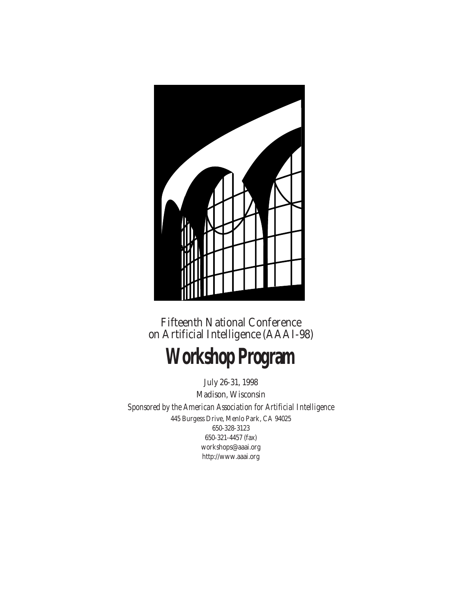

Fifteenth National Conference on Artificial Intelligence (AAAI-98)

# **Workshop Program**

July 26-31, 1998 Madison, Wisconsin *Sponsored by the American Association for Artificial Intelligence* 445 Burgess Drive, Menlo Park, CA 94025 650-328-3123 650-321-4457 (fax) workshops@aaai.org http://www.aaai.org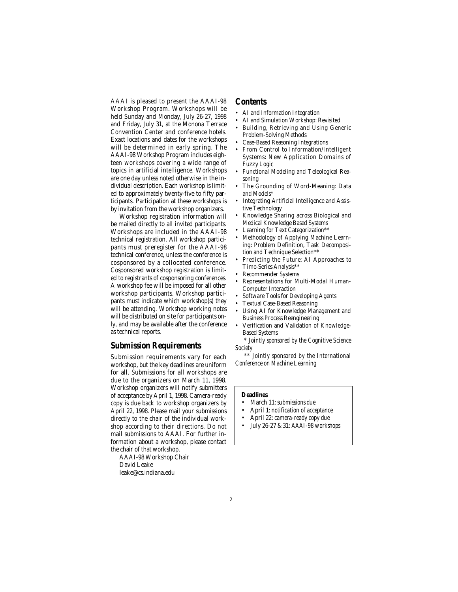AAAI is pleased to present the AAAI-98 Workshop Program. Workshops will be held Sunday and Monday, July 26-27, 1998 and Friday, July 31, at the Monona Terrace Convention Center and conference hotels. Exact locations and dates for the workshops will be determined in early spring. The AAAI-98 Workshop Program includes eighteen workshops covering a wide range of topics in artificial intelligence. Workshops are one day unless noted otherwise in the individual description. Each workshop is limited to approximately twenty-five to fifty participants. Participation at these workshops is by invitation from the workshop organizers.

Workshop registration information will be mailed directly to all invited participants. Workshops are included in the AAAI-98 technical registration. All workshop participants must preregister for the AAAI-98 technical conference, unless the conference is cosponsored by a collocated conference. Cosponsored workshop registration is limited to registrants of cosponsoring conferences. A workshop fee will be imposed for all other workshop participants. Workshop participants must indicate which workshop(s) they will be attending. Workshop working notes will be distributed on site for participants only, and may be available after the conference as technical reports.

# **Submission Requirements**

Submission requirements vary for each workshop, but the key deadlines are uniform for all. Submissions for all workshops are due to the organizers on March 11, 1998. Workshop organizers will notify submitters of acceptance by April 1, 1998. Camera-ready copy is due back to workshop organizers by April 22, 1998. Please mail your submissions directly to the chair of the individual workshop according to their directions. Do not mail submissions to AAAI. For further information about a workshop, please contact the chair of that workshop.

AAAI-98 Workshop Chair David Leake leake@cs.indiana.edu

# **Contents**

- AI and Information Integration
- AI and Simulation Workshop: Revisited
- Building, Retrieving and Using Generic Problem-Solving Methods
- Case-Based Reasoning Integrations
- From Control to Information/Intelligent Systems: New Application Domains of Fuzzy Logic
- Functional Modeling and Teleological Reasoning
- The Grounding of Word-Meaning: Data and Models<sup>\*</sup>
- Integrating Artificial Intelligence and Assistive Technology
- Knowledge Sharing across Biological and Medical Knowledge Based Systems
- Learning for Text Categorization\*\*
- Methodology of Applying Machine Learning: Problem Definition, Task Decomposition and Technique Selection\*\*
- Predicting the Future: AI Approaches to Time-Series Analysis\*\*
- Recommender Systems
- Representations for Multi-Modal Human-Computer Interaction
- Software Tools for Developing Agents
- Textual Case-Based Reasoning
- Using AI for Knowledge Management and Business Process Reengineering
- Verification and Validation of Knowledge-Based Systems

*\* Jointly sponsored by the Cognitive Science Society*

*\*\* Jointly sponsored by the International Conference on Machine Learning*

#### **Deadlines**

- March 11: *submissions due*
- April 1: *notification of acceptance*
- April 22: *camera-ready copy due*
- July 26-27 & 31: *AAAI-98 workshops*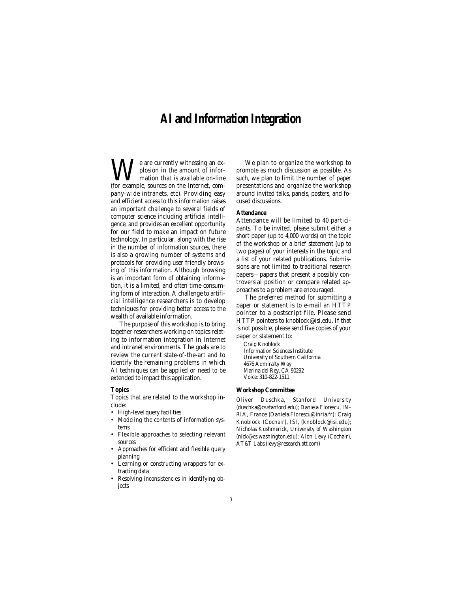# **AI and Information Integration**

**W**e are currently witnessing an ex-<br>plosion in the amount of infor-<br>(for example, sources on the Internet, complosion in the amount of information that is available on-line pany-wide intranets, etc). Providing easy and efficient access to this information raises an important challenge to several fields of computer science including artificial intelligence, and provides an excellent opportunity for our field to make an impact on future technology. In particular, along with the rise in the number of information sources, there is also a growing number of systems and protocols for providing user friendly browsing of this information. Although browsing is an important form of obtaining information, it is a limited, and often time-consuming form of interaction. A challenge to artificial intelligence researchers is to develop techniques for providing better access to the wealth of available information.

The purpose of this workshop is to bring together researchers working on topics relating to information integration in Internet and intranet environments. The goals are to review the current state-of-the-art and to identify the remaining problems in which AI techniques can be applied or need to be extended to impact this application.

# **Topics**

Topics that are related to the workshop include:

- High-level query facilities
- Modeling the contents of information systems
- Flexible approaches to selecting relevant sources
- Approaches for efficient and flexible query planning
- Learning or constructing wrappers for extracting data
- Resolving inconsistencies in identifying objects

We plan to organize the workshop to promote as much discussion as possible. As such, we plan to limit the number of paper presentations and organize the workshop around invited talks, panels, posters, and focused discussions.

# **Attendance**

Attendance will be limited to 40 participants. To be invited, please submit either a short paper (up to 4,000 words) on the topic of the workshop or a brief statement (up to two pages) of your interests in the topic and a list of your related publications. Submissions are not limited to traditional research papers—papers that present a possibly controversial position or compare related approaches to a problem are encouraged.

The preferred method for submitting a paper or statement is to e-mail an HTTP pointer to a postscript file. Please send HTTP pointers to knoblock@isi.edu. If that is not possible, please send five copies of your paper or statement to:

Craig Knoblock Information Sciences Institute University of Southern California 4676 Admiralty Way Marina del Rey, CA 90292 Voice: 310-822-1511

### **Workshop Committee**

Oliver Duschka, Stanford University (duschka@cs.stanford.edu); Daniela Florescu, IN-RIA, France (Daniela.Florescu@inria.fr); Craig Knoblock (Cochair), ISI, (knoblock@isi.edu); Nicholas Kushmerick, University of Washington (nick@cs.washington.edu); Alon Levy (Cochair), AT&T Labs (levy@research.att.com)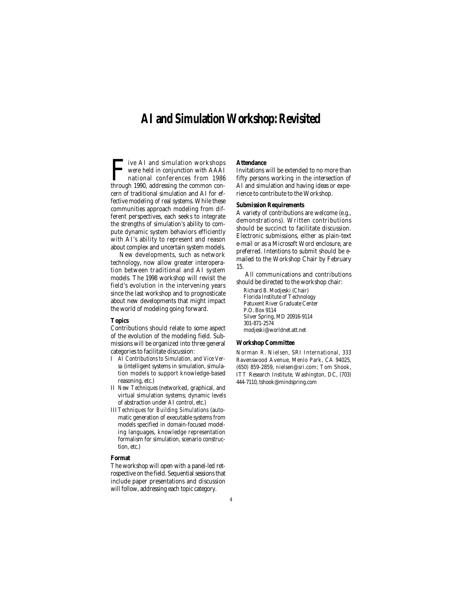# **AI and Simulation Workshop: Revisited**

Tive AI and simulation workshops<br>were held in conjunction with AAAI<br>national conferences from 1986<br>through 1990. addressing the common conwere held in conjunction with AAAI national conferences from 1986 through 1990, addressing the common concern of traditional simulation and AI for effective modeling of real systems. While these communities approach modeling from different perspectives, each seeks to integrate the strengths of simulation's ability to compute dynamic system behaviors efficiently with AI's ability to represent and reason about complex and uncertain system models.

New developments, such as network technology, now allow greater interoperation between traditional and AI system models. The 1998 workshop will revisit the field's evolution in the intervening years since the last workshop and to prognosticate about new developments that might impact the world of modeling going forward.

# **Topics**

Contributions should relate to some aspect of the evolution of the modeling field. Submissions will be organized into three general categories to facilitate discussion:

- I *AI Contributions to Simulation, and Vice Versa* (intelligent systems in simulation, simulation models to support knowledge-based reasoning, etc.)
- II *New Techniques* (networked, graphical, and virtual simulation systems; dynamic levels of abstraction under AI control, etc.)
- III*Techniques for Building Simulations* (automatic generation of executable systems from models specified in domain-focused modeling languages, knowledge representation formalism for simulation, scenario construction, etc.)

### **Format**

The workshop will open with a panel-led retrospective on the field. Sequential sessions that include paper presentations and discussion will follow, addressing each topic category.

# **Attendance**

Invitations will be extended to no more than fifty persons working in the intersection of AI and simulation and having ideas or experience to contribute to the Workshop.

# **Submission Requirements**

A variety of contributions are welcome (e.g., demonstrations). Written contributions should be succinct to facilitate discussion. Electronic submissions, either as plain-text e-mail or as a Microsoft Word enclosure, are preferred. Intentions to submit should be emailed to the Workshop Chair by February 15.

All communications and contributions should be directed to the workshop chair:

Richard B. Modjeski (Chair) Florida Institute of Technology Patuxent River Graduate Center P.O. Box 9114 Silver Spring, MD 20916-9114 301-871-2574 modjeski@worldnet.att.net

#### **Workshop Committee**

Norman R. Nielsen, SRI International, 333 Ravenswood Avenue, Menlo Park, CA 94025, (650) 859-2859, nielsen@sri.com; Tom Shook, ITT Research Institute, Washington, DC, (703) 444-7110, tshook@mindspring.com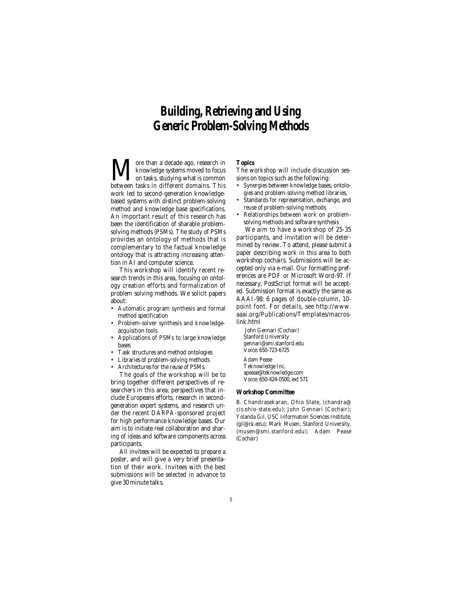# **Building, Retrieving and Using Generic Problem-Solving Methods**

More than a decade ago, research in between tasks in different domains. This knowledge systems moved to focus on tasks, studying what is common work led to second-generation knowledgebased systems with distinct problem-solving method and knowledge base specifications. An important result of this research has been the identification of sharable problemsolving methods (PSMs). The study of PSMs provides an ontology of methods that is complementary to the factual knowledge ontology that is attracting increasing attention in AI and computer science.

This workshop will identify recent research trends in this area, focusing on ontology creation efforts and formalization of problem solving methods. We solicit papers about:

- Automatic program synthesis and formal method specification
- Problem-solver synthesis and knowledgeacquisition tools
- Applications of PSMs to large knowledge bases
- Task structures and method ontologies
- Libraries of problem-solving methods
- Architectures for the reuse of PSMs.

The goals of the workshop will be to bring together different perspectives of researchers in this area; perspectives that include Europeans efforts, research in secondgeneration expert systems, and research under the recent DARPA-sponsored project for high performance knowledge bases. Our aim is to initiate real collaboration and sharing of ideas and software components across participants.

All invitees will be expected to prepare a poster, and will give a very brief presentation of their work. Invitees with the best submissions will be selected in advance to give 30 minute talks.

### **Topics**

The workshop will include discussion sessions on topics such as the following:

- Synergies between knowledge bases, ontologies and problem-solving method libraries,
- Standards for representation, exchange, and reuse of problem-solving methods
- Relationships between work on problemsolving methods and software synthesis

We aim to have a workshop of 25-35 participants, and invitation will be determined by review. To attend, please submit a paper describing work in this area to both workshop cochairs. Submissions will be accepted only via e-mail. Our formatting preferences are PDF or Microsoft Word-97. If necessary, PostScript format will be accepted. Submission format is exactly the same as AAAI-98: 6 pages of double-column, 10 point font. For details, see http://www. aaai.org/Publications/Templates/macroslink.html

John Gennari (Cochair) Stanford University gennari@smi.stanford.edu Voice: 650-723-6725 Adam Pease Teknowledge Inc. apease@teknowledge.com Voice: 650-424-0500, ext 571

# **Workshop Committee**

B. Chandrasekaran, Ohio State, (chandra@ cis.ohio-state.edu); John Gennari (Cochair); Yolanda Gil, USC Information Sciences Institute, (gil@isi.edu); Mark Musen, Stanford University, (musen@smi.stanford.edu); Adam Pease (Cochair)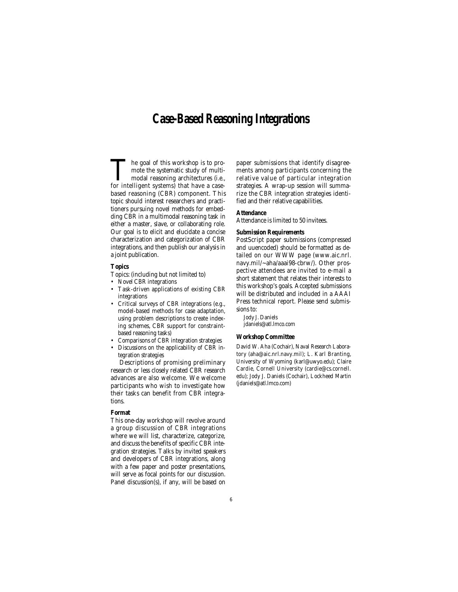# **Case-Based Reasoning Integrations**

The goal of this workshop is to promote the systematic study of multimodal reasoning architectures (i.e., for intelligent systems) that have a casebased reasoning (CBR) component. This topic should interest researchers and practitioners pursuing novel methods for embedding CBR in a multimodal reasoning task in either a master, slave, or collaborating role. Our goal is to elicit and elucidate a concise characterization and categorization of CBR integrations, and then publish our analysis in a joint publication.

# **Topics**

Topics: (including but not limited to)

- Novel CBR integrations
- Task-driven applications of existing CBR integrations
- Critical surveys of CBR integrations (e.g., model-based methods for case adaptation, using problem descriptions to create indexing schemes, CBR support for constraintbased reasoning tasks)
- Comparisons of CBR integration strategies
- Discussions on the applicability of CBR integration strategies

Descriptions of promising preliminary research or less closely related CBR research advances are also welcome. We welcome participants who wish to investigate how their tasks can benefit from CBR integrations.

### **Format**

This one-day workshop will revolve around a group discussion of CBR integrations where we will list, characterize, categorize, and discuss the benefits of specific CBR integration strategies. Talks by invited speakers and developers of CBR integrations, along with a few paper and poster presentations, will serve as focal points for our discussion. Panel discussion(s), if any, will be based on paper submissions that identify disagreements among participants concerning the relative value of particular integration strategies. A wrap-up session will summarize the CBR integration strategies identified and their relative capabilities.

# **Attendance**

Attendance is limited to 50 invitees.

### **Submission Requirements**

PostScript paper submissions (compressed and uuencoded) should be formatted as detailed on our WWW page (www.aic.nrl. navy.mil/~aha/aaai98-cbrw/). Other prospective attendees are invited to e-mail a short statement that relates their interests to this workshop's goals. Accepted submissions will be distributed and included in a AAAI Press technical report. Please send submissions to:

Jody J. Daniels jdaniels@atl.lmco.com

#### **Workshop Committee**

David W. Aha (Cochair), Naval Research Laboratory (aha@aic.nrl.navy.mil); L. Karl Branting, University of Wyoming (karl@uwyo.edu); Claire Cardie, Cornell University (cardie@cs.cornell. edu); Jody J. Daniels (Cochair), Lockheed Martin (jdaniels@atl.lmco.com)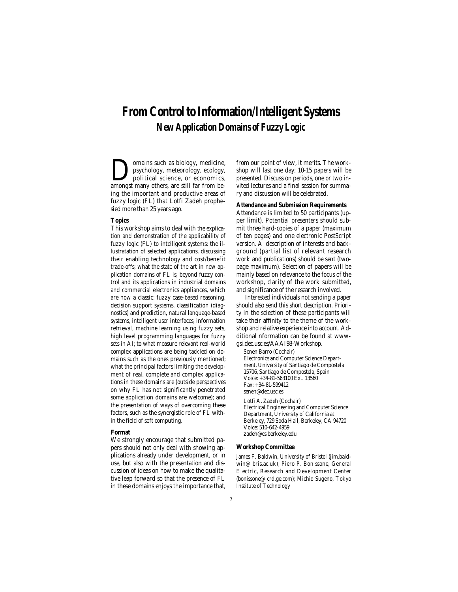# **From Control to Information/Intelligent Systems New Application Domains of Fuzzy Logic**

**D**omains such as biology, medicine,<br>political science, or economics,<br>amongst many others, are still far from bepsychology, meteorology, ecology, political science, or economics, amongst many others, are still far from being the important and productive areas of fuzzy logic (FL) that Lotfi Zadeh prophesied more than 25 years ago.

#### **Topics**

This workshop aims to deal with the explication and demonstration of the applicability of fuzzy logic (FL) to intelligent systems; the illustratation of selected applications, discussing their enabling technology and cost/benefit trade-offs; what the state of the art in new application domains of FL is, beyond fuzzy control and its applications in industrial domains and commercial electronics appliances, which are now a classic: fuzzy case-based reasoning, decision support systems, classification (diagnostics) and prediction, natural language-based systems, intelligent user interfaces, information retrieval, machine learning using fuzzy sets, high level programming languages for fuzzy sets in AI; to what measure relevant real-world complex applications are being tackled on domains such as the ones previously mentioned; what the principal factors limiting the development of real, complete and complex applications in these domains are (outside perspectives on why FL has not significantly penetrated some application domains are welcome); and the presentation of ways of overcoming these factors, such as the synergistic role of FL within the field of soft computing.

### **Format**

We strongly encourage that submitted papers should not only deal with showing applications already under development, or in use, but also with the presentation and discussion of ideas on how to make the qualitative leap forward so that the presence of FL in these domains enjoys the importance that,

from our point of view, it merits. The workshop will last one day; 10-15 papers will be presented. Discussion periods, one or two invited lectures and a final session for summary and discussion will be celebrated.

### **Attendance and Submission Requirements**

Attendance is limited to 50 participants (upper limit). Potential presenters should submit three hard-copies of a paper (maximum of ten pages) and one electronic PostScript version. A description of interests and background (partial list of relevant research work and publications) should be sent (twopage maximum). Selection of papers will be mainly based on relevance to the focus of the workshop, clarity of the work submitted, and significance of the research involved.

Interested individuals not sending a paper should also send this short description. Priority in the selection of these participants will take their affinity to the theme of the workshop and relative experience into account. Additional nformation can be found at wwwgsi.dec.usc.es/AAAI98-Workshop.

Senen Barro (Cochair) Electronics and Computer Science Department, University of Santiago de Compostela 15706, Santiago de Compostela, Spain Voice: +34-81-563100 Ext. 13560 Fax: +34-81-599412 senen@dec.usc.es

Lotfi A. Zadeh (Cochair) Electrical Engineering and Computer Science Department, University of California at Berkeley, 729 Soda Hall, Berkeley, CA 94720 Voice: 510-642-4959 zadeh@cs.berkeley.edu

#### **Workshop Committee**

James F. Baldwin, University of Bristol (jim.baldwin@ bris.ac.uk); Piero P. Bonissone, General Electric, Research and Development Center (bonissone@ crd.ge.com); Michio Sugeno, Tokyo Institute of Technology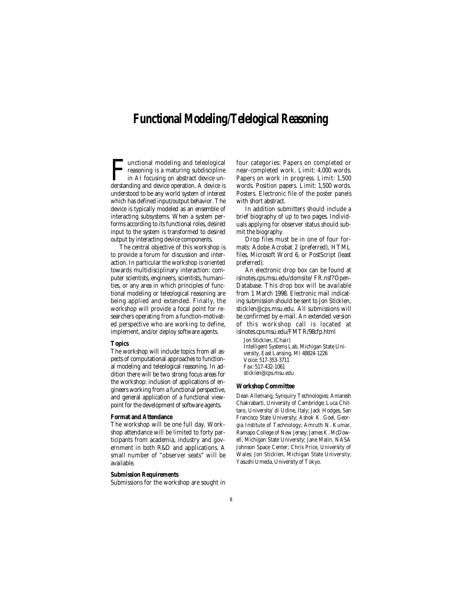# **Functional Modeling/Telelogical Reasoning**

**Functional modeling and teleological**<br>reasoning is a maturing subdiscipline<br>in AI focusing on abstract device un-<br>derstanding and device operation. A device is reasoning is a maturing subdiscipline in AI focusing on abstract device understanding and device operation. A device is understood to be any world system of interest which has defined input/output behavior. The device is typically modeled as an ensemble of interacting subsystems. When a system performs according to its functional roles, desired input to the system is transformed to desired output by interacting device components.

The central objective of this workshop is to provide a forum for discussion and interaction. In particular the workshop is oriented towards multidisciplinary interaction: computer scientists, engineers, scientists, humanities, or any area in which principles of functional modeling or teleological reasoning are being applied and extended. Finally, the workshop will provide a focal point for researchers operating from a function-motivated perspective who are working to define, implement, and/or deploy software agents.

#### **Topics**

The workshop will include topics from all aspects of computational approaches to functional modeling and teleological reasoning. In addition there will be two strong focus areas for the workshop: inclusion of applications of engineers working from a functional perspective, and general application of a functional viewpoint for the development of software agents.

#### **Format and Attendance**

The workshop will be one full day. Workshop attendance will be limited to forty participants from academia, industry and government in both R&D and applications. A small number of "observer seats" will be available.

#### **Submission Requirements**

Submissions for the workshop are sought in

four categories: Papers on completed or near-completed work. Limit: 4,000 words. Papers on work in progress. Limit: 1,500 words. Position papers. Limit: 1,500 words. Posters. Electronic file of the poster panels with short abstract.

In addition submitters should include a brief biography of up to two pages. Individuals applying for observer status should submit the biography.

Drop files must be in one of four formats: Adobe Acrobat 2 (preferred), HTML files, Microsoft Word 6, or PostScript (least preferred).

An electronic drop box can be found at islnotes.cps.msu.edu/domsite/ FR.nsf?Open-Database. This drop box will be available from 1 March 1998. Electronic mail indicating submission should be sent to Jon Sticklen, sticklen@cps.msu.edu. All submissions will be confirmed by e-mail. An extended version of this workshop call is located at islnotes.cps.msu.edu/FMTR/98cfp.html

Jon Sticklen, (Chair) Intelligent Systems Lab, Michigan State University, East Lansing, MI 48824-1226 Voice: 517-353-3711 Fax: 517-432-1061 sticklen@cps.msu.edu

### **Workshop Committee**

Dean Allemang, Synquiry Technologies; Amaresh Chakrabarti, University of Cambridge; Luca Chittaro, Universita' di Udine, Italy; Jack Hodges, San Francisco State University; Ashok K. Goel, Georgia Institute of Technology; Amruth N. Kumar, Ramapo College of New Jersey; James K. McDowell, Michigan State University; Jane Malin, NASA Johnson Space Center; Chris Price, University of Wales; Jon Sticklen, Michigan State University; Yasushi Umeda, University of Tokyo.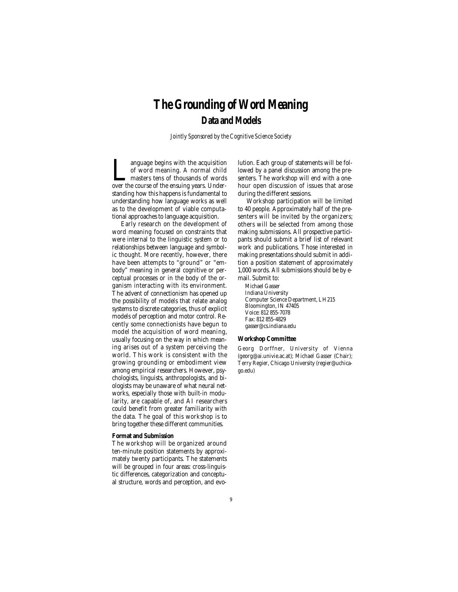# **The Grounding of Word Meaning Data and Models**

*Jointly Sponsored by the Cognitive Science Society*

Improvement of word meaning. A normal child masters tens of thousands of words<br>over the course of the ensuing years. Underof word meaning. A normal child masters tens of thousands of words standing how this happens is fundamental to understanding how language works as well as to the development of viable computational approaches to language acquisition.

Early research on the development of word meaning focused on constraints that were internal to the linguistic system or to relationships between language and symbolic thought. More recently, however, there have been attempts to "ground" or "embody" meaning in general cognitive or perceptual processes or in the body of the organism interacting with its environment. The advent of connectionism has opened up the possibility of models that relate analog systems to discrete categories, thus of explicit models of perception and motor control. Recently some connectionists have begun to model the acquisition of word meaning, usually focusing on the way in which meaning arises out of a system perceiving the world. This work is consistent with the growing grounding or embodiment view among empirical researchers. However, psychologists, linguists, anthropologists, and biologists may be unaware of what neural networks, especially those with built-in modularity, are capable of, and AI researchers could benefit from greater familiarity with the data. The goal of this workshop is to bring together these different communities.

# **Format and Submission**

The workshop will be organized around ten-minute position statements by approximately twenty participants. The statements will be grouped in four areas: cross-linguistic differences, categorization and conceptual structure, words and perception, and evolution. Each group of statements will be followed by a panel discussion among the presenters. The workshop will end with a onehour open discussion of issues that arose during the different sessions.

Workshop participation will be limited to 40 people. Approximately half of the presenters will be invited by the organizers; others will be selected from among those making submissions. All prospective participants should submit a brief list of relevant work and publications. Those interested in making presentations should submit in addition a position statement of approximately 1,000 words. All submissions should be by email. Submit to:

Michael Gasser Indiana University Computer Science Department, LH215 Bloomington, IN 47405 Voice: 812 855-7078 Fax: 812 855-4829 gasser@cs.indiana.edu

#### **Workshop Committee**

Georg Dorffner, University of Vienna (georg@ai.univie.ac.at); Michael Gasser (Chair); Terry Regier, Chicago University (regier@uchicago.edu)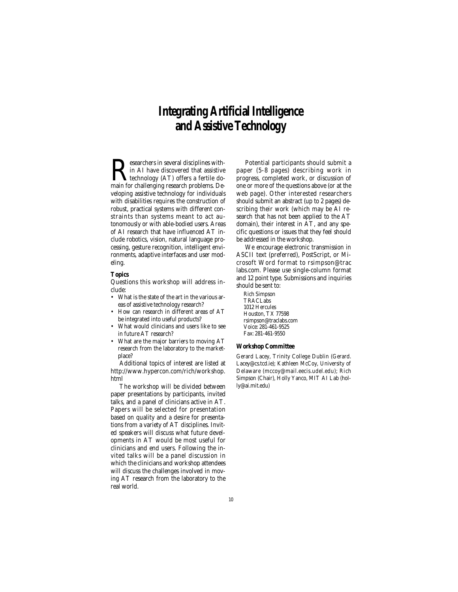# **Integrating Artificial Intelligence and Assistive Technology**

 $\sum$  esearchers in several disciplines with-<br>in AI have discovered that assistive<br>technology (AT) offers a fertile do-<br>main for challenging research problems. Dein AI have discovered that assistive technology (AT) offers a fertile doveloping assistive technology for individuals with disabilities requires the construction of robust, practical systems with different constraints than systems meant to act autonomously or with able-bodied users. Areas of AI research that have influenced AT include robotics, vision, natural language processing, gesture recognition, intelligent environments, adaptive interfaces and user modeling.

# **Topics**

Questions this workshop will address include:

- What is the state of the art in the various areas of assistive technology research?
- How can research in different areas of AT be integrated into useful products?
- What would clinicians and users like to see in future AT research?
- What are the major barriers to moving AT research from the laboratory to the marketplace?

Additional topics of interest are listed at http://www.hypercon.com/rich/workshop. html

The workshop will be divided between paper presentations by participants, invited talks, and a panel of clinicians active in AT. Papers will be selected for presentation based on quality and a desire for presentations from a variety of AT disciplines. Invited speakers will discuss what future developments in AT would be most useful for clinicians and end users. Following the invited talks will be a panel discussion in which the clinicians and workshop attendees will discuss the challenges involved in moving AT research from the laboratory to the real world.

Potential participants should submit a paper (5-8 pages) describing work in progress, completed work, or discussion of one or more of the questions above (or at the web page). Other interested researchers should submit an abstract (up to 2 pages) describing their work (which may be AI research that has not been applied to the AT domain), their interest in AT, and any specific questions or issues that they feel should be addressed in the workshop.

We encourage electronic transmission in ASCII text (preferred), PostScript, or Microsoft Word format to rsimpson@trac labs.com. Please use single-column format and 12 point type. Submissions and inquiries should be sent to:

Rich Simpson TRACLabs 1012 Hercules Houston, TX 77598 rsimpson@traclabs.com Voice: 281-461-9525 Fax: 281-461-9550

# **Workshop Committee**

Gerard Lacey, Trinity College Dublin (Gerard. Lacey@cs.tcd.ie); Kathleen McCoy, University of Delaware (mccoy@mail.eecis.udel.edu); Rich Simpson (Chair), Holly Yanco, MIT AI Lab (holly@ai.mit.edu)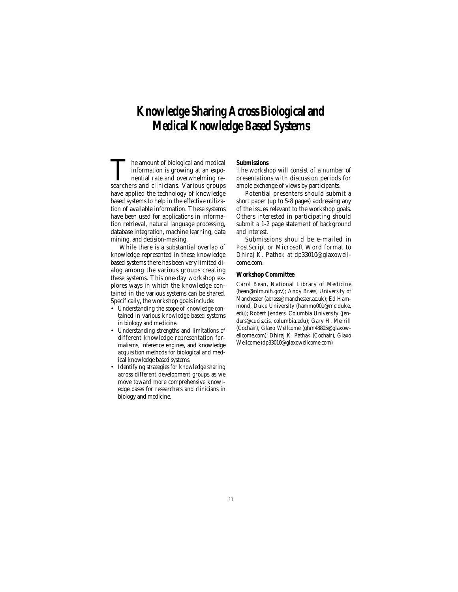# **Knowledge Sharing Across Biological and Medical Knowledge Based Systems**

The amount of biological and medical<br>
information is growing at an expo-<br>
nential rate and overwhelming re-<br>
searchers and clinicians. Various groups information is growing at an exponential rate and overwhelming rehave applied the technology of knowledge based systems to help in the effective utilization of available information. These systems have been used for applications in information retrieval, natural language processing, database integration, machine learning, data mining, and decision-making.

While there is a substantial overlap of knowledge represented in these knowledge based systems there has been very limited dialog among the various groups creating these systems. This one-day workshop explores ways in which the knowledge contained in the various systems can be shared. Specifically, the workshop goals include:

- Understanding the scope of knowledge contained in various knowledge based systems in biology and medicine.
- Understanding strengths and limitations of different knowledge representation formalisms, inference engines, and knowledge acquisition methods for biological and medical knowledge based systems.
- Identifying strategies for knowledge sharing across different development groups as we move toward more comprehensive knowledge bases for researchers and clinicians in biology and medicine.

# **Submissions**

The workshop will consist of a number of presentations with discussion periods for ample exchange of views by participants.

Potential presenters should submit a short paper (up to 5-8 pages) addressing any of the issues relevant to the workshop goals. Others interested in participating should submit a 1-2 page statement of background and interest.

Submissions should be e-mailed in PostScript or Microsoft Word format to Dhiraj K. Pathak at dp33010@glaxowellcome.com.

# **Workshop Committee**

Carol Bean, National Library of Medicine (bean@nlm.nih.gov); Andy Brass, University of Manchester (abrass@manchester.ac.uk); Ed Hammond, Duke University (hammo001@mc.duke. edu); Robert Jenders, Columbia University (jenders@cucis.cis. columbia.edu); Gary H. Merrill (Cochair), Glaxo Wellcome (ghm48805@glaxowellcome.com); Dhiraj K. Pathak (Cochair), Glaxo Wellcome (dp33010@glaxowellcome.com)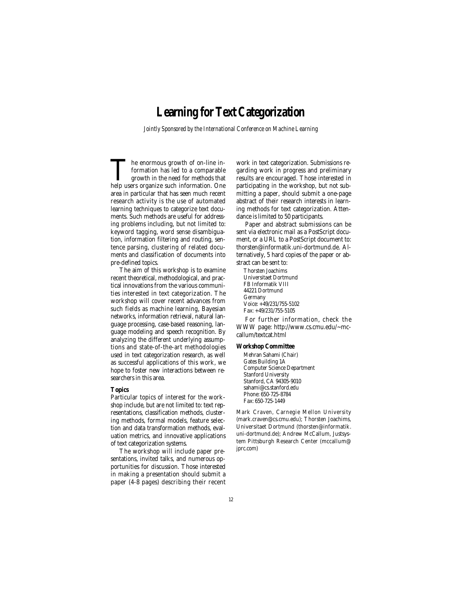# **Learning for Text Categorization**

*Jointly Sponsored by the International Conference on Machine Learning*

The enormous growth of on-line in-<br>formation has led to a comparable<br>growth in the need for methods that<br>help users organize such information. One formation has led to a comparable growth in the need for methods that area in particular that has seen much recent research activity is the use of automated learning techniques to categorize text documents. Such methods are useful for addressing problems including, but not limited to: keyword tagging, word sense disambiguation, information filtering and routing, sentence parsing, clustering of related documents and classification of documents into pre-defined topics.

The aim of this workshop is to examine recent theoretical, methodological, and practical innovations from the various communities interested in text categorization. The workshop will cover recent advances from such fields as machine learning, Bayesian networks, information retrieval, natural language processing, case-based reasoning, language modeling and speech recognition. By analyzing the different underlying assumptions and state-of-the-art methodologies used in text categorization research, as well as successful applications of this work, we hope to foster new interactions between researchers in this area.

#### **Topics**

Particular topics of interest for the workshop include, but are not limited to: text representations, classification methods, clustering methods, formal models, feature selection and data transformation methods, evaluation metrics, and innovative applications of text categorization systems.

The workshop will include paper presentations, invited talks, and numerous opportunities for discussion. Those interested in making a presentation should submit a paper (4-8 pages) describing their recent work in text categorization. Submissions regarding work in progress and preliminary results are encouraged. Those interested in participating in the workshop, but not submitting a paper, should submit a one-page abstract of their research interests in learning methods for text categorization. Attendance is limited to 50 participants.

Paper and abstract submissions can be sent via electronic mail as a PostScript document, or a URL to a PostScript document to: thorsten@informatik.uni-dortmund.de. Alternatively, 5 hard copies of the paper or abstract can be sent to:

Thorsten Joachims Universitaet Dortmund FB Informatik VIII 44221 Dortmund Germany Voice: +49/231/755-5102 Fax: +49/231/755-5105

For further information, check the WWW page: http://www.cs.cmu.edu/~mccallum/textcat.html

#### **Workshop Committee**

Mehran Sahami (Chair) Gates Building 1A Computer Science Department Stanford University Stanford, CA 94305-9010 sahami@cs.stanford.edu Phone: 650-725-8784 Fax: 650-725-1449

Mark Craven, Carnegie Mellon University (mark.craven@cs.cmu.edu); Thorsten Joachims, Universitaet Dortmund (thorsten@informatik. uni-dortmund.de); Andrew McCallum, Justsystem Pittsburgh Research Center (mccallum@ jprc.com)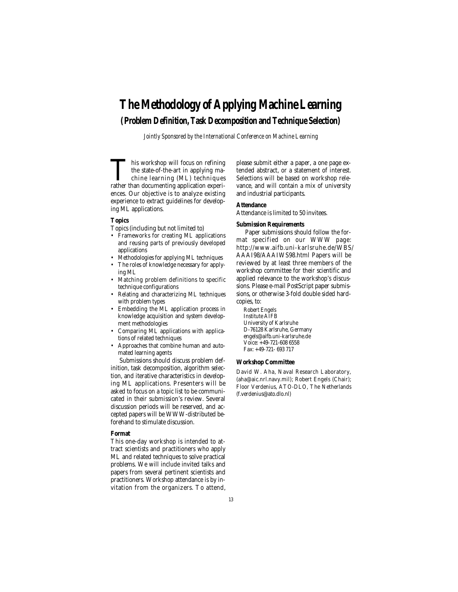# **The Methodology of Applying Machine Learning (Problem Definition, Task Decomposition and Technique Selection)**

*Jointly Sponsored by the International Conference on Machine Learning*

This workshop will focus on refining<br>the state-of-the-art in applying machine learning (ML) techniques<br>rather than documenting application experithe state-of-the-art in applying machine learning (ML) techniques ences. Our objective is to analyze existing experience to extract guidelines for developing ML applications.

# **Topics**

- Topics (including but not limited to)
- Frameworks for creating ML applications and reusing parts of previously developed applications
- Methodologies for applying ML techniques • The roles of knowledge necessary for apply-
- ing ML
- Matching problem definitions to specific technique configurations
- Relating and characterizing ML techniques with problem types
- Embedding the ML application process in knowledge acquisition and system development methodologies
- Comparing ML applications with applications of related techniques
- Approaches that combine human and automated learning agents

Submissions should discuss problem definition, task decomposition, algorithm selection, and iterative characteristics in developing ML applications. Presenters will be asked to focus on a topic list to be communicated in their submission's review. Several discussion periods will be reserved, and accepted papers will be WWW-distributed beforehand to stimulate discussion.

#### **Format**

This one-day workshop is intended to attract scientists and practitioners who apply ML and related techniques to solve practical problems. We will include invited talks and papers from several pertinent scientists and practitioners. Workshop attendance is by invitation from the organizers. To attend, please submit either a paper, a one page extended abstract, or a statement of interest. Selections will be based on workshop relevance, and will contain a mix of university and industrial participants.

# **Attendance**

Attendance is limited to 50 invitees.

#### **Submission Requirements**

Paper submissions should follow the format specified on our WWW page: http://www.aifb.uni-karlsruhe.de/WBS/ AAAI98/AAAIWS98.html Papers will be reviewed by at least three members of the workshop committee for their scientific and applied relevance to the workshop's discussions. Please e-mail PostScript paper submissions, or otherwise 3-fold double sided hardcopies, to:

Robert Engels Institute AIFB University of Karlsruhe D-76128 Karlsruhe, Germany engels@aifb.uni-karlsruhe.de Voice: +49-721-608 6558 Fax: +49-721- 693 717

#### **Workshop Committee**

David W. Aha, Naval Research Laboratory, (aha@aic.nrl.navy.mil); Robert Engels (Chair); Floor Verdenius, ATO-DLO, The Netherlands (f.verdenius@ato.dlo.nl)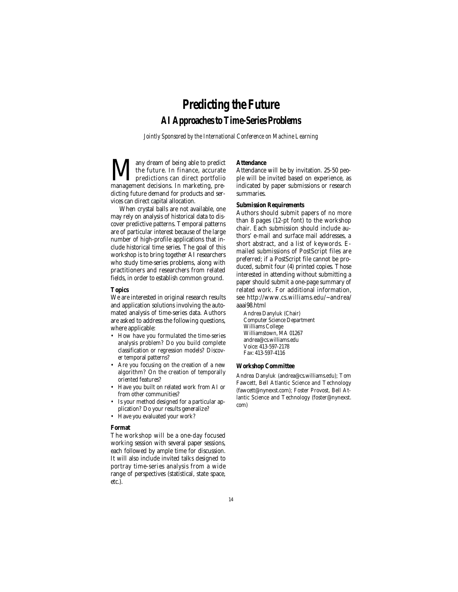# **Predicting the Future AI Approaches to Time-Series Problems**

*Jointly Sponsored by the International Conference on Machine Learning*

Many dream of being able to predict management decisions. In marketing, prethe future. In finance, accurate predictions can direct portfolio dicting future demand for products and services can direct capital allocation.

When crystal balls are not available, one may rely on analysis of historical data to discover predictive patterns. Temporal patterns are of particular interest because of the large number of high-profile applications that include historical time series. The goal of this workshop is to bring together AI researchers who study time-series problems, along with practitioners and researchers from related fields, in order to establish common ground.

### **Topics**

We are interested in original research results and application solutions involving the automated analysis of time-series data. Authors are asked to address the following questions, where applicable:

- How have you formulated the time-series analysis problem? Do you build complete classification or regression models? Discover temporal patterns?
- Are you focusing on the creation of a new algorithm? On the creation of temporally oriented features?
- Have you built on related work from AI or from other communities?
- Is your method designed for a particular application? Do your results generalize?
- Have you evaluated your work?

### **Format**

The workshop will be a one-day focused working session with several paper sessions, each followed by ample time for discussion. It will also include invited talks designed to portray time-series analysis from a wide range of perspectives (statistical, state space, etc.).

### **Attendance**

Attendance will be by invitation. 25-50 people will be invited based on experience, as indicated by paper submissions or research summaries.

### **Submission Requirements**

Authors should submit papers of no more than 8 pages (12-pt font) to the workshop chair. Each submission should include authors' e-mail and surface mail addresses, a short abstract, and a list of keywords. Emailed submissions of PostScript files are preferred; if a PostScript file cannot be produced, submit four (4) printed copies. Those interested in attending without submitting a paper should submit a one-page summary of related work. For additional information, see http://www.cs.williams.edu/~andrea/ aaai98.html

Andrea Danyluk (Chair) Computer Science Department Williams College Williamstown, MA 01267 andrea@cs.williams.edu Voice: 413-597-2178 Fax: 413-597-4116

#### **Workshop Committee**

Andrea Danyluk (andrea@cs.williams.edu); Tom Fawcett, Bell Atlantic Science and Technology (fawcett@nynexst.com); Foster Provost, Bell Atlantic Science and Technology (foster@nynexst. com)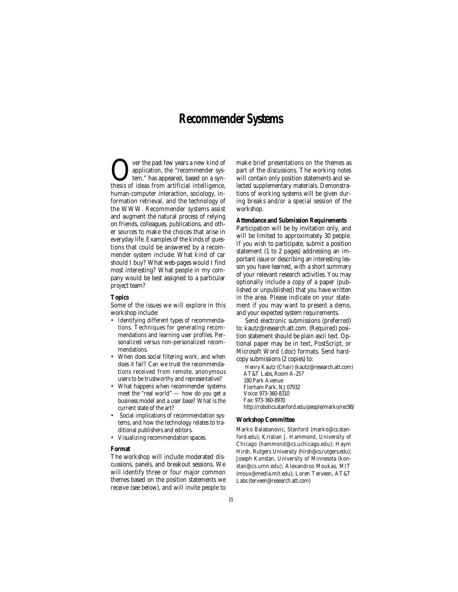# **Recommender Systems**

Over the past few years a new kind of thesis of ideas from artificial intelligence, application, the "recommender system," has appeared, based on a synhuman-computer interaction, sociology, information retrieval, and the technology of the WWW. Recommender systems assist and augment the natural process of relying on friends, colleagues, publications, and other sources to make the choices that arise in everyday life. Examples of the kinds of questions that could be answered by a recommender system include: What kind of car should I buy? What web-pages would I find most interesting? What people in my company would be best assigned to a particular project team?

#### **Topics**

Some of the issues we will explore in this workshop include:

- Identifying different types of recommendations. Techniques for generating recommendations and learning user profiles. Personalized versus non-personalized recommendations.
- When does social filtering work, and when does it fail? Can we trust the recommendations received from remote, anonymous users to be trustworthy and representative?
- What happens when recommender systems meet the "real world" — how do you get a business model and a user base? What is the current state of the art?
- Social implications of recommendation systems, and how the technology relates to traditional publishers and editors.
- Visualizing recommendation spaces.

#### **Format**

The workshop will include moderated discussions, panels, and breakout sessions. We will identify three or four major common themes based on the position statements we receive (see below), and will invite people to make brief presentations on the themes as part of the discussions. The working notes will contain only position statements and selected supplementary materials. Demonstrations of working systems will be given during breaks and/or a special session of the workshop.

# **Attendance and Submission Requirements**

Participation will be by invitation only, and will be limited to approximately 30 people. If you wish to participate, submit a position statement (1 to 2 pages) addressing an important issue or describing an interesting lesson you have learned, with a short summary of your relevant research activities. You may optionally include a copy of a paper (published or unpublished) that you have written in the area. Please indicate on your statement if you may want to present a demo, and your expected system requirements.

Send electronic submissions (preferred) to: kautz@research.att.com. (Required) position statement should be plain ascii text. Optional paper may be in text, PostScript, or Microsoft Word (.doc) formats. Send hardcopy submissions (2 copies) to:

Henry Kautz (Chair) (kautz@research.att.com) AT&T Labs, Room A-257 180 Park Avenue Florham Park, NJ 07932 Voice: 973-360-8310 Fax: 973-360-8970 http://robotics.stanford.edu/people/marko/rec98/

#### **Workshop Committee**

Marko Balabanovic, Stanford (marko@cs.stanford.edu); Kristian J. Hammond, University of Chicago (hammond@cs.uchicago.edu); Haym Hirsh, Rutgers University (hirsh@cs.rutgers.edu); Joseph Konstan, University of Minnesota (konstan@cs.umn.edu); Alexandros Moukas, MIT (moux@media.mit.edu); Loren Terveen, AT&T Labs (terveen@research.att.com)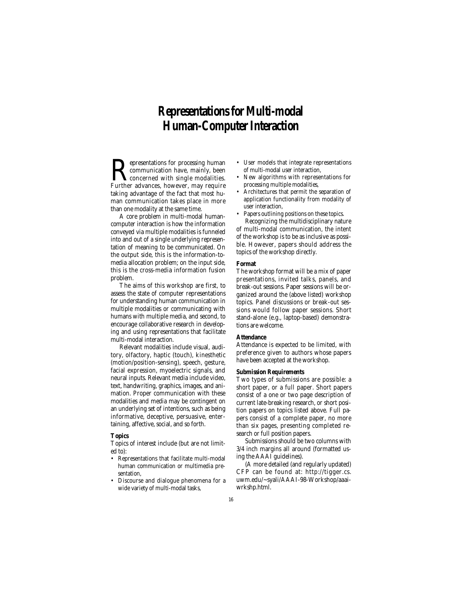# **Representations for Multi-modal Human-Computer Interaction**

**Representations for processing human**<br>communication have, mainly, been<br>Further advances, however, may require communication have, mainly, been Further advances, however, may require taking advantage of the fact that most human communication takes place in more than one modality at the same time.

A core problem in multi-modal humancomputer interaction is how the information conveyed via multiple modalities is funneled into and out of a single underlying representation of meaning to be communicated. On the output side, this is the information-tomedia allocation problem; on the input side, this is the cross-media information fusion problem.

The aims of this workshop are first, to assess the state of computer representations for understanding human communication in multiple modalities or communicating with humans with multiple media, and second, to encourage collaborative research in developing and using representations that facilitate multi-modal interaction.

Relevant modalities include visual, auditory, olfactory, haptic (touch), kinesthetic (motion/position-sensing), speech, gesture, facial expression, myoelectric signals, and neural inputs. Relevant media include video, text, handwriting, graphics, images, and animation. Proper communication with these modalities and media may be contingent on an underlying set of intentions, such as being informative, deceptive, persuasive, entertaining, affective, social, and so forth.

#### **Topics**

Topics of interest include (but are not limited to):

- Representations that facilitate multi-modal human communication or multimedia presentation,
- Discourse and dialogue phenomena for a wide variety of multi-modal tasks,
- User models that integrate representations of multi-modal user interaction,
- New algorithms with representations for processing multiple modalities,
- Architectures that permit the separation of application functionality from modality of user interaction,
- Papers outlining positions on these topics. Recognizing the multidisciplinary nature

of multi-modal communication, the intent of the workshop is to be as inclusive as possible. However, papers should address the topics of the workshop directly.

#### **Format**

The workshop format will be a mix of paper presentations, invited talks, panels, and break-out sessions. Paper sessions will be organized around the (above listed) workshop topics. Panel discussions or break-out sessions would follow paper sessions. Short stand-alone (e.g., laptop-based) demonstrations are welcome.

#### **Attendance**

Attendance is expected to be limited, with preference given to authors whose papers have been accepted at the workshop.

#### **Submission Requirements**

Two types of submissions are possible: a short paper, or a full paper. Short papers consist of a one or two page description of current late-breaking research, or short position papers on topics listed above. Full papers consist of a complete paper, no more than six pages, presenting completed research or full position papers.

Submissions should be two columns with 3/4 inch margins all around (formatted using the AAAI guidelines).

(A more detailed (and regularly updated) CFP can be found at: http://tigger.cs. uwm.edu/~syali/AAAI-98-Workshop/aaaiwrkshp.html.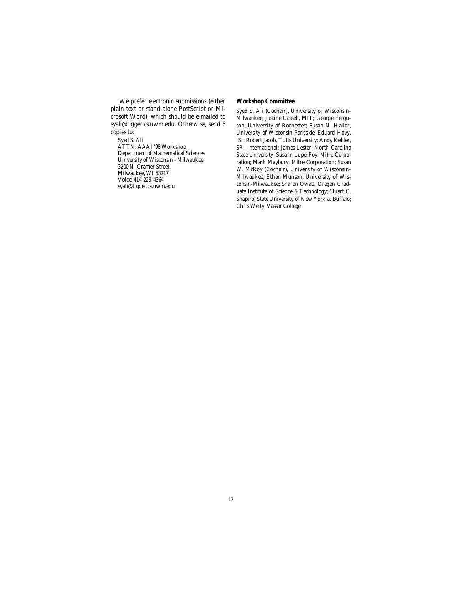We prefer electronic submissions (either plain text or stand-alone PostScript or Microsoft Word), which should be e-mailed to syali@tigger.cs.uwm.edu. Otherwise, send 6 copies to:

Syed S. Ali ATTN: AAAI '98 Workshop Department of Mathematical Sciences University of Wisconsin - Milwaukee 3200 N. Cramer Street Milwaukee, WI 53217 Voice: 414-229-4364 syali@tigger.cs.uwm.edu

# **Workshop Committee**

Syed S. Ali (Cochair), University of Wisconsin-Milwaukee; Justine Cassell, MIT; George Ferguson, University of Rochester; Susan M. Haller, University of Wisconsin-Parkside; Eduard Hovy, ISI; Robert Jacob, Tufts University; Andy Kehler, SRI International; James Lester, North Carolina State University; Susann LuperFoy, Mitre Corporation; Mark Maybury, Mitre Corporation; Susan W. McRoy (Cochair), University of Wisconsin-Milwaukee; Ethan Munson, University of Wisconsin-Milwaukee; Sharon Oviatt, Oregon Graduate Institute of Science & Technology; Stuart C. Shapiro, State University of New York at Buffalo; Chris Welty, Vassar College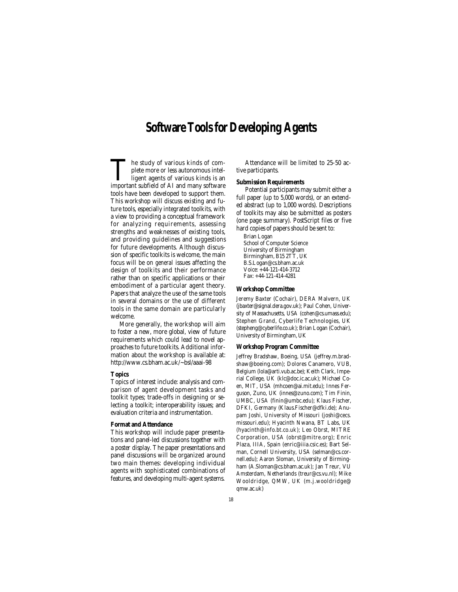# **Software Tools for Developing Agents**

The study of various kinds of complete more or less autonomous intel-<br>ligent agents of various kinds is an<br>important subfield of AI and many software plete more or less autonomous intelligent agents of various kinds is an important subfield of AI and many software tools have been developed to support them. This workshop will discuss existing and future tools, especially integrated toolkits, with a view to providing a conceptual framework for analyzing requirements, assessing strengths and weaknesses of existing tools, and providing guidelines and suggestions for future developments. Although discussion of specific toolkits is welcome, the main focus will be on *general* issues affecting the design of toolkits and their performance rather than on specific applications or their embodiment of a particular agent theory. Papers that analyze the use of the same tools in several domains or the use of different tools in the same domain are particularly welcome.

More generally, the workshop will aim to foster a new, more global, view of future requirements which could lead to novel approaches to future toolkits. Additional information about the workshop is available at: http://www.cs.bham.ac.uk/~bsl/aaai-98

#### **Topics**

Topics of interest include: analysis and comparison of agent development tasks and toolkit types; trade-offs in designing or selecting a toolkit; interoperability issues; and evaluation criteria and instrumentation.

#### **Format and Attendance**

This workshop will include paper presentations and panel-led discussions together with a poster display. The paper presentations and panel discussions will be organized around two main themes: developing individual agents with sophisticated combinations of features, and developing multi-agent systems.

Attendance will be limited to 25-50 active participants.

### **Submission Requirements**

Potential participants may submit either a full paper (up to 5,000 words), or an extended abstract (up to 1,000 words). Descriptions of toolkits may also be submitted as posters (one page summary). PostScript files or five hard copies of papers should be sent to:

Brian Logan School of Computer Science University of Birmingham Birmingham, B15 2TT, UK B.S.Logan@cs.bham.ac.uk Voice: +44-121-414-3712 Fax: +44-121-414-4281

#### **Workshop Committee**

Jeremy Baxter (Cochair), DERA Malvern, UK (jbaxter@signal.dera.gov.uk); Paul Cohen, University of Massachusetts, USA (cohen@cs.umass.edu); Stephen Grand, Cyberlife Technologies, UK (stepheng@cyberlife.co.uk); Brian Logan (Cochair), University of Birmingham, UK

#### **Workshop Program Committee**

Jeffrey Bradshaw, Boeing, USA (jeffrey.m.bradshaw@boeing.com); Dolores Canamero, VUB, Belgium (lola@arti.vub.ac.be); Keith Clark, Imperial College, UK (klc@doc.ic.ac.uk); Michael Coen, MIT, USA (mhcoen@ai.mit.edu); Innes Ferguson, Zuno, UK (innes@zuno.com); Tim Finin, UMBC, USA (finin@umbc.edu); Klaus Fischer, DFKI, Germany (Klaus.Fischer@dfki.de); Anupam Joshi, University of Missouri (joshi@cecs. missouri.edu); Hyacinth Nwana, BT Labs, UK (hyacinth@info.bt.co.uk); Leo Obrst, MITRE Corporation, USA (obrst@mitre.org); Enric Plaza, IIIA, Spain (enric@iiia.csic.es); Bart Selman, Cornell University, USA (selman@cs.cornell.edu); Aaron Sloman, University of Birmingham (A.Sloman@cs.bham.ac.uk); Jan Treur, VU Amsterdam, Netherlands (treur@cs.vu.nl); Mike Wooldridge, QMW, UK (m.j.wooldridge@ qmw.ac.uk)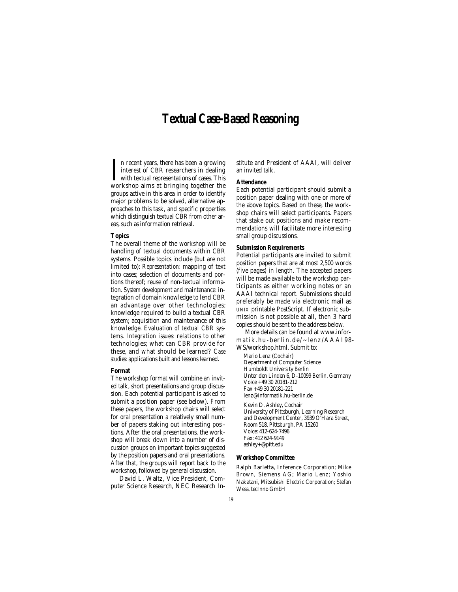# **Textual Case-Based Reasoning**

In recent years, there has been a growing<br>interest of CBR researchers in dealing<br>with textual representations of cases. This<br>workshop aims at bringing together the n recent years, there has been a growing interest of CBR researchers in dealing with textual representations of cases. This groups active in this area in order to identify major problems to be solved, alternative approaches to this task, and specific properties which distinguish textual CBR from other areas, such as information retrieval.

#### **Topics**

The overall theme of the workshop will be handling of textual documents within CBR systems. Possible topics include (but are not limited to): *Representation:* mapping of text into cases; selection of documents and portions thereof; reuse of non-textual information. *System development and maintenance:* integration of domain knowledge to lend CBR an advantage over other technologies; knowledge required to build a textual CBR system; acquisition and maintenance of this knowledge. *Evaluation of textual CBR systems. Integration issues:* relations to other technologies; what can CBR provide for these, and what should be learned? C*ase studies:* applications built and lessons learned.

#### **Format**

The workshop format will combine an invited talk, short presentations and group discussion. Each potential participant is asked to submit a position paper (see below). From these papers, the workshop chairs will select for oral presentation a relatively small number of papers staking out interesting positions. After the oral presentations, the workshop will break down into a number of discussion groups on important topics suggested by the position papers and oral presentations. After that, the groups will report back to the workshop, followed by general discussion.

David L. Waltz, Vice President, Computer Science Research, NEC Research Institute and President of AAAI, will deliver an invited talk.

# **Attendance**

Each potential participant should submit a position paper dealing with one or more of the above topics. Based on these, the workshop chairs will select participants. Papers that stake out positions and make recommendations will facilitate more interesting small group discussions.

# **Submission Requirements**

Potential participants are invited to submit position papers that are at most 2,500 words (five pages) in length. The accepted papers will be made available to the workshop participants as either working notes or an AAAI technical report. Submissions should preferably be made via electronic mail as UNIX printable PostScript. If electronic submission is not possible at all, then 3 hard copies should be sent to the address below.

More details can be found at www.informatik.hu-berlin.de/~lenz/AAAI98- WS/workshop.html. Submit to:

Mario Lenz (Cochair) Department of Computer Science Humboldt University Berlin Unter den Linden 6, D-10099 Berlin, Germany Voice +49 30 20181-212 Fax +49 30 20181-221 lenz@informatik.hu-berlin.de Kevin D. Ashley, Cochair University of Pittsburgh, Learning Research and Development Center, 3939 O'Hara Street, Room 518, Pittsburgh, PA 15260 Voice: 412-624-7496 Fax: 412 624-9149 ashley+@pitt.edu

# **Workshop Committee**

Ralph Barletta, Inference Corporation; Mike Brown, Siemens AG; Mario Lenz; Yoshio Nakatani, Mitsubishi Electric Corporation; Stefan Wess, tecInno GmbH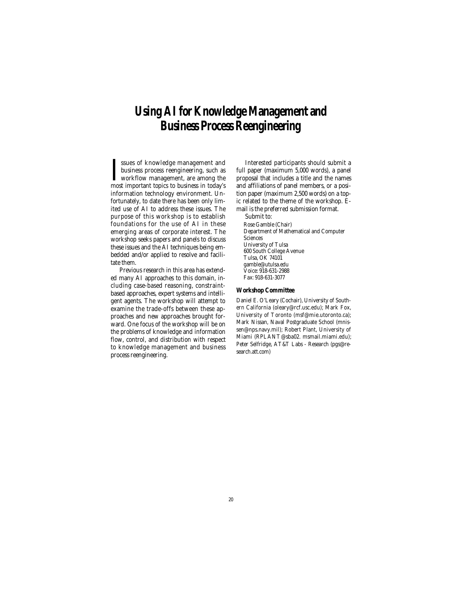# **Using AI for Knowledge Management and Business Process Reengineering**

I ssues of knowledge management and<br>business process reengineering, such as<br>workflow management, are among the<br>most important topics to business in today's ssues of knowledge management and business process reengineering, such as workflow management, are among the information technology environment. Unfortunately, to date there has been only limited use of AI to address these issues. The purpose of this workshop is to establish foundations for the use of AI in these emerging areas of corporate interest. The workshop seeks papers and panels to discuss these issues and the AI techniques being embedded and/or applied to resolve and facilitate them.

Previous research in this area has extended many AI approaches to this domain, including case-based reasoning, constraintbased approaches, expert systems and intelligent agents. The workshop will attempt to examine the trade-offs between these approaches and new approaches brought forward. One focus of the workshop will be on the problems of knowledge and information flow, control, and distribution with respect to knowledge management and business process reengineering.

Interested participants should submit a full paper (maximum 5,000 words), a panel proposal that includes a title and the names and affiliations of panel members, or a position paper (maximum 2,500 words) on a topic related to the theme of the workshop. Email is the preferred submission format.

Submit to:

Rose Gamble (Chair) Department of Mathematical and Computer Sciences University of Tulsa 600 South College Avenue Tulsa, OK 74101 gamble@utulsa.edu Voice: 918-631-2988 Fax: 918-631-3077

### **Workshop Committee**

Daniel E. O'Leary (Cochair), University of Southern California (oleary@rcf.usc.edu); Mark Fox, University of Toronto (msf@mie.utoronto.ca); Mark Nissan, Naval Postgraduate School (mnissen@nps.navy.mil); Robert Plant, University of Miami (RPLANT@sba02. msmail.miami.edu); Peter Selfridge, AT&T Labs - Research (pgs@research.att.com)